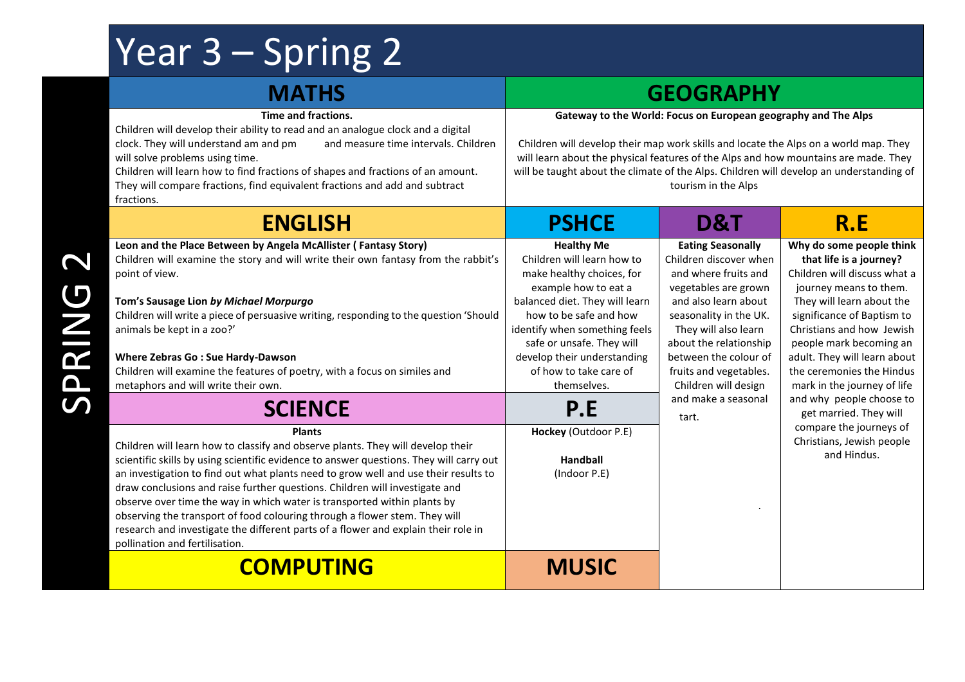## Year 3 – Spring 2

## **MATHS GEOGRAPHY Time and fractions.** Children will develop their ability to read and an analogue clock and a digital clock. They will understand am and pm and measure time intervals. Children will solve problems using time. Children will learn how to find fractions of shapes and fractions of an amount. They will compare fractions, find equivalent fractions and add and subtract fractions. **Gateway to the World: Focus on European geography and The Alps** Children will develop their map work skills and locate the Alps on a world map. They will learn about the physical features of the Alps and how mountains are made. They will be taught about the climate of the Alps. Children will develop an understanding of tourism in the Alps **ENGLISH PSHCE D&T R.E Leon and the Place Between by Angela McAllister ( Fantasy Story)** Children will examine the story and will write their own fantasy from the rabbit's point of view. **Tom's Sausage Lion** *by Michael Morpurgo* Children will write a piece of persuasive writing, responding to the question 'Should animals be kept in a zoo?' **Where Zebras Go : Sue Hardy-Dawson** Children will examine the features of poetry, with a focus on similes and metaphors and will write their own. **Healthy Me** Children will learn how to make healthy choices, for example how to eat a balanced diet. They will learn how to be safe and how identify when something feels safe or unsafe. They will develop their understanding of how to take care of themselves. **Eating Seasonally** Children discover when and where fruits and vegetables are grown and also learn about seasonality in the UK. They will also learn about the relationship between the colour of fruits and vegetables. Children will design and make a seasonal tart. ingredients.. **Why do some people think that life is a journey?** Children will discuss what a journey means to them. They will learn about the significance of Baptism to Christians and how Jewish people mark becoming an adult. They will learn about the ceremonies the Hindus mark in the journey of life and why people choose to get married. They will compare the journeys of Christians, Jewish people and Hindus. **SCIENCE P.E Plants** Children will learn how to classify and observe plants. They will develop their scientific skills by using scientific evidence to answer questions. They will carry out an investigation to find out what plants need to grow well and use their results to draw conclusions and raise further questions. Children will investigate and observe over time the way in which water is transported within plants by observing the transport of food colouring through a flower stem. They will research and investigate the different parts of a flower and explain their role in pollination and fertilisation. **Hockey** (Outdoor P.E) **Handball** (Indoor P.E) **COMPUTING MUSIC**